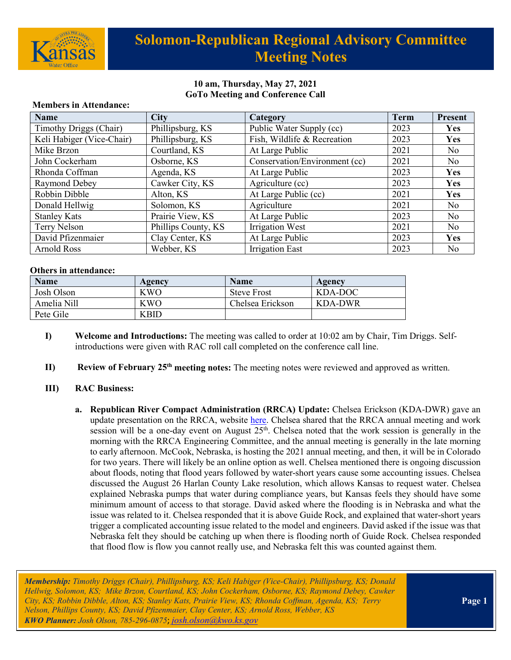

## **Solomon-Republican Regional Advisory Committee Meeting Notes**

### **10 am, Thursday, May 27, 2021 GoTo Meeting and Conference Call**

| <b>Name</b>               | <b>City</b>         | Category                      | <b>Term</b> | <b>Present</b> |
|---------------------------|---------------------|-------------------------------|-------------|----------------|
| Timothy Driggs (Chair)    | Phillipsburg, KS    | Public Water Supply (cc)      | 2023        | <b>Yes</b>     |
| Keli Habiger (Vice-Chair) | Phillipsburg, KS    | Fish, Wildlife & Recreation   | 2023        | Yes            |
| Mike Brzon                | Courtland, KS       | At Large Public               | 2021        | No             |
| John Cockerham            | Osborne, KS         | Conservation/Environment (cc) | 2021        | N <sub>o</sub> |
| Rhonda Coffman            | Agenda, KS          | At Large Public               | 2023        | Yes            |
| Raymond Debey             | Cawker City, KS     | Agriculture (cc)              | 2023        | Yes            |
| Robbin Dibble             | Alton, KS           | At Large Public (cc)          | 2021        | Yes            |
| Donald Hellwig            | Solomon, KS         | Agriculture                   | 2021        | No             |
| <b>Stanley Kats</b>       | Prairie View, KS    | At Large Public               | 2023        | No             |
| Terry Nelson              | Phillips County, KS | Irrigation West               | 2021        | No             |
| David Pfizenmaier         | Clay Center, KS     | At Large Public               | 2023        | Yes            |
| Arnold Ross               | Webber, KS          | <b>Irrigation East</b>        | 2023        | N <sub>o</sub> |

#### **Members in Attendance:**

#### **Others in attendance:**

| <b>Name</b> | Agency      | <b>Name</b>        | Agency  |
|-------------|-------------|--------------------|---------|
| Josh Olson  | KWO         | <b>Steve Frost</b> | KDA-DOC |
| Amelia Nill | KWO         | Chelsea Erickson   | KDA-DWR |
| Pete Gile   | <b>KBID</b> |                    |         |

- **I) Welcome and Introductions:** The meeting was called to order at 10:02 am by Chair, Tim Driggs. Selfintroductions were given with RAC roll call completed on the conference call line.
- **II) Review of February 25th meeting notes:** The meeting notes were reviewed and approved as written.

#### **III) RAC Business:**

**a. Republican River Compact Administration (RRCA) Update:** Chelsea Erickson (KDA-DWR) gave an update presentation on the RRCA, website [here.](http://republicanriver.org/) Chelsea shared that the RRCA annual meeting and work session will be a one-day event on August 25<sup>th</sup>. Chelsea noted that the work session is generally in the morning with the RRCA Engineering Committee, and the annual meeting is generally in the late morning to early afternoon. McCook, Nebraska, is hosting the 2021 annual meeting, and then, it will be in Colorado for two years. There will likely be an online option as well. Chelsea mentioned there is ongoing discussion about floods, noting that flood years followed by water-short years cause some accounting issues. Chelsea discussed the August 26 Harlan County Lake resolution, which allows Kansas to request water. Chelsea explained Nebraska pumps that water during compliance years, but Kansas feels they should have some minimum amount of access to that storage. David asked where the flooding is in Nebraska and what the issue was related to it. Chelsea responded that it is above Guide Rock, and explained that water-short years trigger a complicated accounting issue related to the model and engineers. David asked if the issue was that Nebraska felt they should be catching up when there is flooding north of Guide Rock. Chelsea responded that flood flow is flow you cannot really use, and Nebraska felt this was counted against them.

*Membership: Timothy Driggs (Chair), Phillipsburg, KS; Keli Habiger (Vice-Chair), Phillipsburg, KS; Donald Hellwig, Solomon, KS; Mike Brzon, Courtland, KS; John Cockerham, Osborne, KS; Raymond Debey, Cawker City, KS; Robbin Dibble, Alton, KS; Stanley Kats, Prairie View, KS; Rhonda Coffman, Agenda, KS; Terry Nelson, Phillips County, KS; David Pfizenmaier, Clay Center, KS; Arnold Ross, Webber, KS KWO Planner: Josh Olson, 785-296-0875*; *[josh.olson@kwo.ks.gov](mailto:josh.olson@kwo.ks.gov)*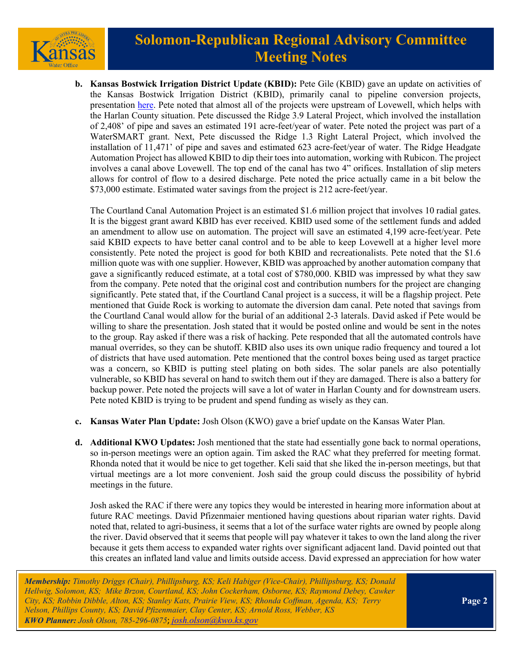

## **Solomon-Republican Regional Advisory Committee Meeting Notes**

**b. Kansas Bostwick Irrigation District Update (KBID):** Pete Gile (KBID) gave an update on activities of the Kansas Bostwick Irrigation District (KBID), primarily canal to pipeline conversion projects, presentation [here.](https://kwo.ks.gov/docs/default-source/regional-advisory-committees/solomon-republican-rac/solomon-republican-rac-presentations/5-27-rac-meeting7f3ce61da40b6667970cff000032a16e.pdf?sfvrsn=24378014_2) Pete noted that almost all of the projects were upstream of Lovewell, which helps with the Harlan County situation. Pete discussed the Ridge 3.9 Lateral Project, which involved the installation of 2,408' of pipe and saves an estimated 191 acre-feet/year of water. Pete noted the project was part of a WaterSMART grant. Next, Pete discussed the Ridge 1.3 Right Lateral Project, which involved the installation of 11,471' of pipe and saves and estimated 623 acre-feet/year of water. The Ridge Headgate Automation Project has allowed KBID to dip their toes into automation, working with Rubicon. The project involves a canal above Lovewell. The top end of the canal has two 4" orifices. Installation of slip meters allows for control of flow to a desired discharge. Pete noted the price actually came in a bit below the \$73,000 estimate. Estimated water savings from the project is 212 acre-feet/year.

The Courtland Canal Automation Project is an estimated \$1.6 million project that involves 10 radial gates. It is the biggest grant award KBID has ever received. KBID used some of the settlement funds and added an amendment to allow use on automation. The project will save an estimated 4,199 acre-feet/year. Pete said KBID expects to have better canal control and to be able to keep Lovewell at a higher level more consistently. Pete noted the project is good for both KBID and recreationalists. Pete noted that the \$1.6 million quote was with one supplier. However, KBID was approached by another automation company that gave a significantly reduced estimate, at a total cost of \$780,000. KBID was impressed by what they saw from the company. Pete noted that the original cost and contribution numbers for the project are changing significantly. Pete stated that, if the Courtland Canal project is a success, it will be a flagship project. Pete mentioned that Guide Rock is working to automate the diversion dam canal. Pete noted that savings from the Courtland Canal would allow for the burial of an additional 2-3 laterals. David asked if Pete would be willing to share the presentation. Josh stated that it would be posted online and would be sent in the notes to the group. Ray asked if there was a risk of hacking. Pete responded that all the automated controls have manual overrides, so they can be shutoff. KBID also uses its own unique radio frequency and toured a lot of districts that have used automation. Pete mentioned that the control boxes being used as target practice was a concern, so KBID is putting steel plating on both sides. The solar panels are also potentially vulnerable, so KBID has several on hand to switch them out if they are damaged. There is also a battery for backup power. Pete noted the projects will save a lot of water in Harlan County and for downstream users. Pete noted KBID is trying to be prudent and spend funding as wisely as they can.

- **c. Kansas Water Plan Update:** Josh Olson (KWO) gave a brief update on the Kansas Water Plan.
- **d. Additional KWO Updates:** Josh mentioned that the state had essentially gone back to normal operations, so in-person meetings were an option again. Tim asked the RAC what they preferred for meeting format. Rhonda noted that it would be nice to get together. Keli said that she liked the in-person meetings, but that virtual meetings are a lot more convenient. Josh said the group could discuss the possibility of hybrid meetings in the future.

Josh asked the RAC if there were any topics they would be interested in hearing more information about at future RAC meetings. David Pfizenmaier mentioned having questions about riparian water rights. David noted that, related to agri-business, it seems that a lot of the surface water rights are owned by people along the river. David observed that it seems that people will pay whatever it takes to own the land along the river because it gets them access to expanded water rights over significant adjacent land. David pointed out that this creates an inflated land value and limits outside access. David expressed an appreciation for how water

*Membership: Timothy Driggs (Chair), Phillipsburg, KS; Keli Habiger (Vice-Chair), Phillipsburg, KS; Donald Hellwig, Solomon, KS; Mike Brzon, Courtland, KS; John Cockerham, Osborne, KS; Raymond Debey, Cawker City, KS; Robbin Dibble, Alton, KS; Stanley Kats, Prairie View, KS; Rhonda Coffman, Agenda, KS; Terry Nelson, Phillips County, KS; David Pfizenmaier, Clay Center, KS; Arnold Ross, Webber, KS KWO Planner: Josh Olson, 785-296-0875*; *[josh.olson@kwo.ks.gov](mailto:josh.olson@kwo.ks.gov)*